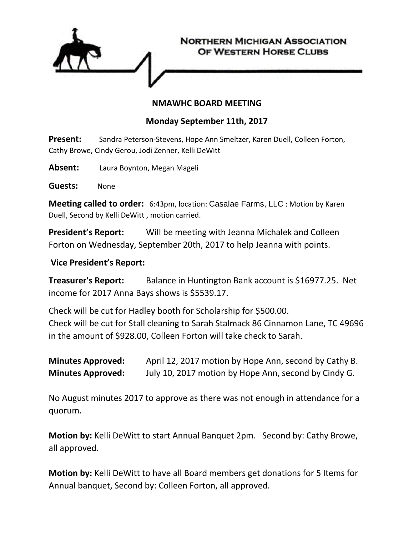

## **NMAWHC BOARD MEETING**

## **Monday September 11th, 2017**

**Present:** Sandra Peterson-Stevens, Hope Ann Smeltzer, Karen Duell, Colleen Forton, Cathy Browe, Cindy Gerou, Jodi Zenner, Kelli DeWitt

**Absent:** Laura Boynton, Megan Mageli

**Guests:** None

**Meeting called to order:** 6:43pm, location: Casalae Farms, LLC : Motion by Karen Duell, Second by Kelli DeWitt , motion carried.

**President's Report:** Will be meeting with Jeanna Michalek and Colleen Forton on Wednesday, September 20th, 2017 to help Jeanna with points.

## **Vice President's Report:**

**Treasurer's Report:** Balance in Huntington Bank account is \$16977.25. Net income for 2017 Anna Bays shows is \$5539.17.

Check will be cut for Hadley booth for Scholarship for \$500.00. Check will be cut for Stall cleaning to Sarah Stalmack 86 Cinnamon Lane, TC 49696 in the amount of \$928.00, Colleen Forton will take check to Sarah.

**Minutes Approved:** April 12, 2017 motion by Hope Ann, second by Cathy B. **Minutes Approved:** July 10, 2017 motion by Hope Ann, second by Cindy G.

No August minutes 2017 to approve as there was not enough in attendance for a quorum.

**Motion by:** Kelli DeWitt to start Annual Banquet 2pm. Second by: Cathy Browe, all approved.

**Motion by:** Kelli DeWitt to have all Board members get donations for 5 Items for Annual banquet, Second by: Colleen Forton, all approved.